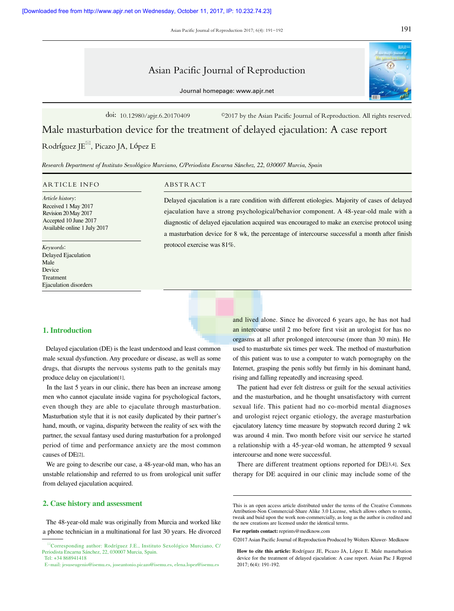Asian Pacific Journal of Reproduction 2017; 6(4): 191-192

# Asian Pacific Journal of Reproduction

Journal homepage: www.apjr.net

doi: 10.12980/apjr.6.20170409 ©2017 by the Asian Pacific Journal of Reproduction. All rights reserved.

Male masturbation device for the treatment of delayed ejaculation: A case report

Rodríguez JE<sup> $\boxtimes$ </sup>, Picazo JA, López E

Research Department of Instituto Sexológico Murciano, C/Periodista Encarna Sánchez, 22, 030007 Murcia, Spain

#### ARTICLE INFO ABSTRACT

Article history: Received 1 May 2017 Revision 20 May 2017 Accepted 10 June 2017 Available online 1 July 2017

Keywords: Delayed Ejaculation Male Device Treatment Ejaculation disorders

Delayed ejaculation is a rare condition with different etiologies. Majority of cases of delayed ejaculation have a strong psychological/behavior component. A 48-year-old male with a diagnostic of delayed ejaculation acquired was encouraged to make an exercise protocol using a masturbation device for 8 wk, the percentage of intercourse successful a month after finish protocol exercise was 81%.

### 1. Introduction

 Delayed ejaculation (DE) is the least understood and least common male sexual dysfunction. Any procedure or disease, as well as some drugs, that disrupts the nervous systems path to the genitals may produce delay on ejaculation[1].

 In the last 5 years in our clinic, there has been an increase among men who cannot ejaculate inside vagina for psychological factors, even though they are able to ejaculate through masturbation. Masturbation style that it is not easily duplicated by their partner's hand, mouth, or vagina, disparity between the reality of sex with the partner, the sexual fantasy used during masturbation for a prolonged period of time and performance anxiety are the most common causes of DE[2].

 We are going to describe our case, a 48-year-old man, who has an unstable relationship and referred to us from urological unit suffer from delayed ejaculation acquired.

# 2. Case history and assessment

 The 48-year-old male was originally from Murcia and worked like a phone technician in a multinational for last 30 years. He divorced

and lived alone. Since he divorced 6 years ago, he has not had an intercourse until 2 mo before first visit an urologist for has no orgasms at all after prolonged intercourse (more than 30 min). He used to masturbate six times per week. The method of masturbation of this patient was to use a computer to watch pornography on the Internet, grasping the penis softly but firmly in his dominant hand, rising and falling repeatedly and increasing speed.

 The patient had ever felt distress or guilt for the sexual activities and the masturbation, and he thought unsatisfactory with current sexual life. This patient had no co-morbid mental diagnoses and urologist reject organic etiology, the average masturbation ejaculatory latency time measure by stopwatch record during 2 wk was around 4 min. Two month before visit our service he started a relationship with a 45-year-old woman, he attempted 9 sexual intercourse and none were successful.

 There are different treatment options reported for DE[3,4]. Sex therapy for DE acquired in our clinic may include some of the

**For reprints contact:** reprints@medknow.com

©2017 Asian Pacific Journal of Reproduction Produced by Wolters Kluwer- Medknow

Corresponding author: Rodríguez J.E., Instituto Sexológico Murciano, C/ Periodista Encarna Sánchez, 22, 030007 Murcia, Spain. Tel: +34 868941418

E-mail: jesuseugenio@isemu.es, joseantonio.picazo@isemu.es, elena.lopez@isemu.es

This is an open access article distributed under the terms of the Creative Commons Attribution-Non Commercial-Share Alike 3.0 License, which allows others to remix, tweak and buid upon the work non-commercially, as long as the author is credited and the new creations are licensed under the identical terms.

**How to cite this article:** Rodríguez JE, Picazo JA, López E. Male masturbation device for the treatment of delayed ejaculation: A case report. Asian Pac J Reprod 2017; 6(4): 191-192.